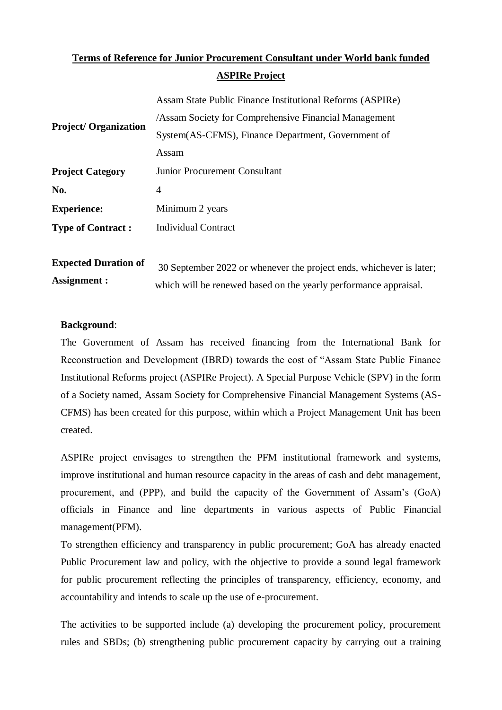# **Terms of Reference for Junior Procurement Consultant under World bank funded ASPIRe Project**

|                                                                 | Assam State Public Finance Institutional Reforms (ASPIRe) |  |  |
|-----------------------------------------------------------------|-----------------------------------------------------------|--|--|
| <b>Project/Organization</b>                                     | /Assam Society for Comprehensive Financial Management     |  |  |
|                                                                 | System(AS-CFMS), Finance Department, Government of        |  |  |
|                                                                 | Assam                                                     |  |  |
| <b>Junior Procurement Consultant</b><br><b>Project Category</b> |                                                           |  |  |
| No.                                                             | 4                                                         |  |  |
| <b>Experience:</b>                                              | Minimum 2 years                                           |  |  |
| <b>Type of Contract:</b>                                        | <b>Individual Contract</b>                                |  |  |
|                                                                 |                                                           |  |  |

**Expected Duration of Assignment :** 30 September 2022 or whenever the project ends, whichever is later; which will be renewed based on the yearly performance appraisal.

## **Background**:

The Government of Assam has received financing from the International Bank for Reconstruction and Development (IBRD) towards the cost of "Assam State Public Finance Institutional Reforms project (ASPIRe Project). A Special Purpose Vehicle (SPV) in the form of a Society named, Assam Society for Comprehensive Financial Management Systems (AS-CFMS) has been created for this purpose, within which a Project Management Unit has been created.

ASPIRe project envisages to strengthen the PFM institutional framework and systems, improve institutional and human resource capacity in the areas of cash and debt management, procurement, and (PPP), and build the capacity of the Government of Assam's (GoA) officials in Finance and line departments in various aspects of Public Financial management(PFM).

To strengthen efficiency and transparency in public procurement; GoA has already enacted Public Procurement law and policy, with the objective to provide a sound legal framework for public procurement reflecting the principles of transparency, efficiency, economy, and accountability and intends to scale up the use of e-procurement.

The activities to be supported include (a) developing the procurement policy, procurement rules and SBDs; (b) strengthening public procurement capacity by carrying out a training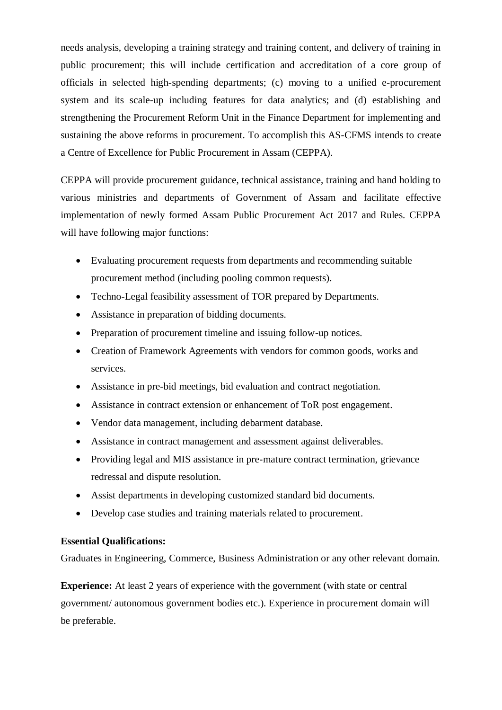needs analysis, developing a training strategy and training content, and delivery of training in public procurement; this will include certification and accreditation of a core group of officials in selected high-spending departments; (c) moving to a unified e-procurement system and its scale-up including features for data analytics; and (d) establishing and strengthening the Procurement Reform Unit in the Finance Department for implementing and sustaining the above reforms in procurement. To accomplish this AS-CFMS intends to create a Centre of Excellence for Public Procurement in Assam (CEPPA).

CEPPA will provide procurement guidance, technical assistance, training and hand holding to various ministries and departments of Government of Assam and facilitate effective implementation of newly formed Assam Public Procurement Act 2017 and Rules. CEPPA will have following major functions:

- Evaluating procurement requests from departments and recommending suitable procurement method (including pooling common requests).
- Techno-Legal feasibility assessment of TOR prepared by Departments.
- Assistance in preparation of bidding documents.
- Preparation of procurement timeline and issuing follow-up notices.
- Creation of Framework Agreements with vendors for common goods, works and services.
- Assistance in pre-bid meetings, bid evaluation and contract negotiation.
- Assistance in contract extension or enhancement of ToR post engagement.
- Vendor data management, including debarment database.
- Assistance in contract management and assessment against deliverables.
- Providing legal and MIS assistance in pre-mature contract termination, grievance redressal and dispute resolution.
- Assist departments in developing customized standard bid documents.
- Develop case studies and training materials related to procurement.

# **Essential Qualifications:**

Graduates in Engineering, Commerce, Business Administration or any other relevant domain.

**Experience:** At least 2 years of experience with the government (with state or central government/ autonomous government bodies etc.). Experience in procurement domain will be preferable.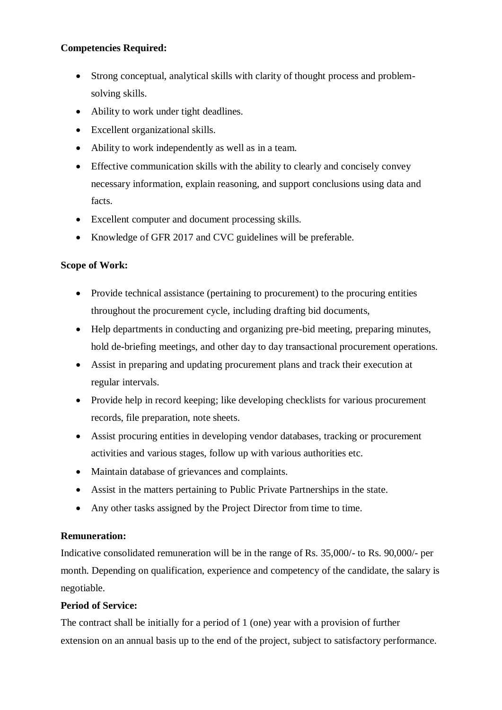# **Competencies Required:**

- Strong conceptual, analytical skills with clarity of thought process and problemsolving skills.
- Ability to work under tight deadlines.
- Excellent organizational skills.
- Ability to work independently as well as in a team.
- Effective communication skills with the ability to clearly and concisely convey necessary information, explain reasoning, and support conclusions using data and facts.
- Excellent computer and document processing skills.
- Knowledge of GFR 2017 and CVC guidelines will be preferable.

# **Scope of Work:**

- Provide technical assistance (pertaining to procurement) to the procuring entities throughout the procurement cycle, including drafting bid documents,
- Help departments in conducting and organizing pre-bid meeting, preparing minutes, hold de-briefing meetings, and other day to day transactional procurement operations.
- Assist in preparing and updating procurement plans and track their execution at regular intervals.
- Provide help in record keeping; like developing checklists for various procurement records, file preparation, note sheets.
- Assist procuring entities in developing vendor databases, tracking or procurement activities and various stages, follow up with various authorities etc.
- Maintain database of grievances and complaints.
- Assist in the matters pertaining to Public Private Partnerships in the state.
- Any other tasks assigned by the Project Director from time to time.

# **Remuneration:**

Indicative consolidated remuneration will be in the range of Rs. 35,000/- to Rs. 90,000/- per month. Depending on qualification, experience and competency of the candidate, the salary is negotiable.

# **Period of Service:**

The contract shall be initially for a period of 1 (one) year with a provision of further extension on an annual basis up to the end of the project, subject to satisfactory performance.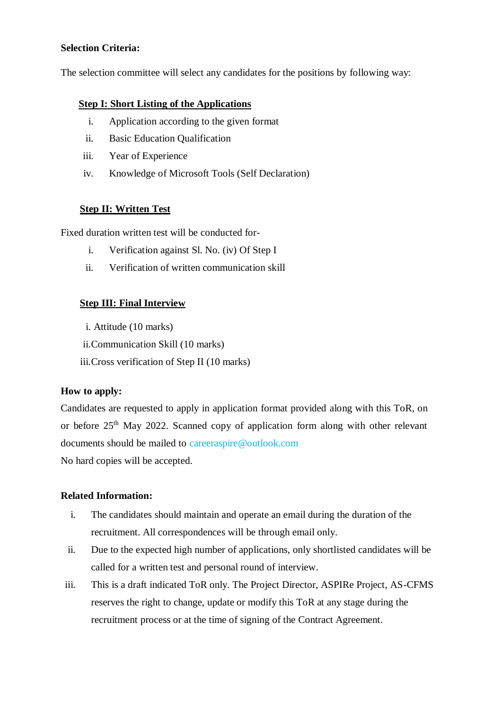## **Selection Criteria:**

The selection committee will select any candidates for the positions by following way:

## **Step I: Short Listing of the Applications**

- i. Application according to the given format
- ii. Basic Education Qualification
- iii. Year of Experience
- iv. Knowledge of Microsoft Tools (Self Declaration)

## **Step II: Written Test**

Fixed duration written test will be conducted for-

- i. Verification against Sl. No. (iv) Of Step I
- ii. Verification of written communication skill

## **Step III: Final Interview**

- i. Attitude (10 marks)
- ii.Communication Skill (10 marks)
- iii.Cross verification of Step II (10 marks)

## **How to apply:**

Candidates are requested to apply in application format provided along with this ToR, on or before  $25<sup>th</sup>$  May 2022. Scanned copy of application form along with other relevant documents should be mailed to careeraspire@outlook.com No hard copies will be accepted.

## **Related Information:**

- i. The candidates should maintain and operate an email during the duration of the recruitment. All correspondences will be through email only.
- ii. Due to the expected high number of applications, only shortlisted candidates will be called for a written test and personal round of interview.
- iii. This is a draft indicated ToR only. The Project Director, ASPIRe Project, AS-CFMS reserves the right to change, update or modify this ToR at any stage during the recruitment process or at the time of signing of the Contract Agreement.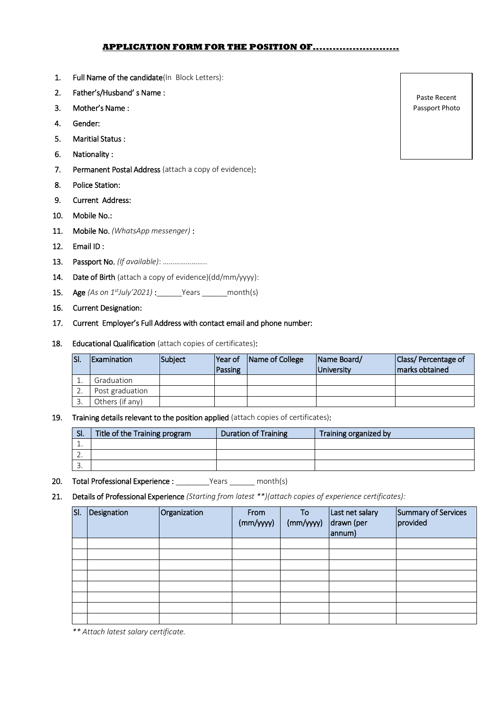#### **APPLICATION FORM FOR THE POSITION OF..........................**

- 1. Full Name of the candidate(In Block Letters):
- 2. Father's/Husband' s Name :
- 3. Mother's Name :
- 4. Gender:
- 5. Maritial Status :
- 6. Nationality :
- 7. Permanent Postal Address (attach a copy of evidence):
- 8. Police Station:
- 9. Current Address:
- 10. Mobile No.:
- 11. Mobile No. *(WhatsApp messenger)* :
- 12. Email ID :
- 13. Passport No. *(If available)*: …………………..
- 14. Date of Birth (attach a copy of evidence)(dd/mm/yyyy):
- 15. Age *(As on 1stJuly'2021)* :\_\_\_\_\_\_Years \_\_\_\_\_\_month(s)
- 16. Current Designation:
- 17. Current Employer's Full Address with contact email and phone number:
- 18. Educational Qualification (attach copies of certificates):

| SI. | <b>Examination</b> | <b>Subiect</b> | Year of<br>Passing | Name of College | Name Board/<br><b>University</b> | <b>Class/Percentage of</b><br>marks obtained |
|-----|--------------------|----------------|--------------------|-----------------|----------------------------------|----------------------------------------------|
|     | Graduation         |                |                    |                 |                                  |                                              |
|     | Post graduation    |                |                    |                 |                                  |                                              |
|     | Others (if any)    |                |                    |                 |                                  |                                              |

#### 19. Training details relevant to the position applied (attach copies of certificates):

| SI.      | Title of the Training program | <b>Duration of Training</b> | Training organized by |
|----------|-------------------------------|-----------------------------|-----------------------|
|          |                               |                             |                       |
| <u>.</u> |                               |                             |                       |
| <u>.</u> |                               |                             |                       |

- 20. Total Professional Experience : \_\_\_\_\_\_\_\_Years \_\_\_\_\_ month(s)
- 21. Details of Professional Experience *(Starting from latest \*\*)(attach copies of experience certificates):*

| SI. | Designation | Organization | From<br>(mm/yyyy) | To<br>(mm/yyyy) | Last net salary<br>drawn (per<br>annum) | Summary of Services<br>provided |
|-----|-------------|--------------|-------------------|-----------------|-----------------------------------------|---------------------------------|
|     |             |              |                   |                 |                                         |                                 |
|     |             |              |                   |                 |                                         |                                 |
|     |             |              |                   |                 |                                         |                                 |
|     |             |              |                   |                 |                                         |                                 |
|     |             |              |                   |                 |                                         |                                 |
|     |             |              |                   |                 |                                         |                                 |
|     |             |              |                   |                 |                                         |                                 |
|     |             |              |                   |                 |                                         |                                 |

*\*\* Attach latest salary certificate.*

Paste Recent Passport Photo